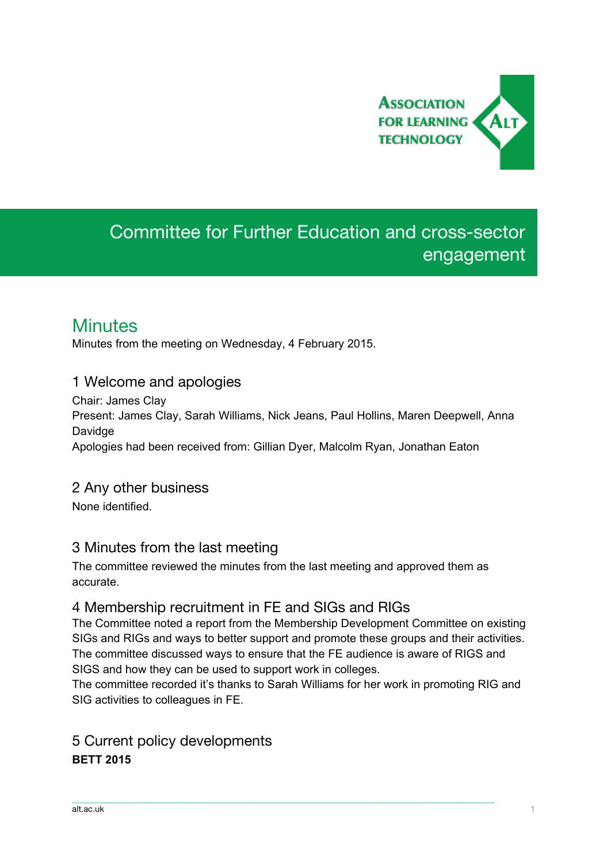

# Committee for Further Education and cross-sector engagement

## **Minutes**

Minutes from the meeting on Wednesday, 4 February 2015.

## 1 Welcome and apologies

Chair: James Clay Present: James Clay, Sarah Williams, Nick Jeans, Paul Hollins, Maren Deepwell, Anna Davidge Apologies had been received from: Gillian Dyer, Malcolm Ryan, Jonathan Eaton

# 2 Any other business

None identified.

## 3 Minutes from the last meeting

The committee reviewed the minutes from the last meeting and approved them as accurate.

## 4 Membership recruitment in FE and SIGs and RIGs

The Committee noted a report from the Membership Development Committee on existing SIGs and RIGs and ways to better support and promote these groups and their activities. The committee discussed ways to ensure that the FE audience is aware of RIGS and SIGS and how they can be used to support work in colleges.

The committee recorded it's thanks to Sarah Williams for her work in promoting RIG and SIG activities to colleagues in FE.

\_\_\_\_\_\_\_\_\_\_\_\_\_\_\_\_\_\_\_\_\_\_\_\_\_\_\_\_\_\_\_\_\_\_\_\_\_\_\_\_\_\_\_\_\_\_\_\_\_\_\_\_\_\_\_\_\_\_\_\_\_\_\_\_\_\_\_\_\_\_\_\_\_\_\_\_\_\_\_\_\_\_\_\_\_\_\_\_\_\_\_\_\_\_\_\_\_\_\_\_

## 5 Current policy developments **BETT 2015**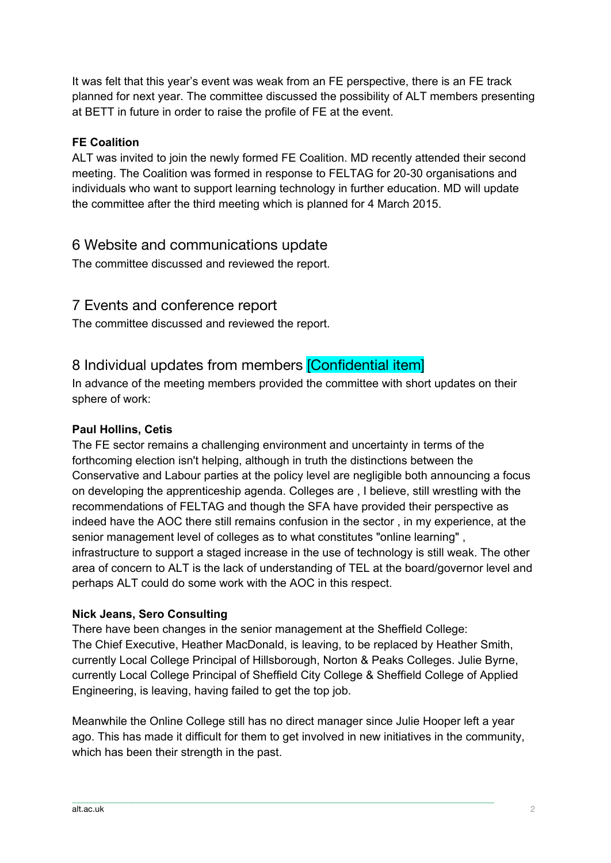It was felt that this year's event was weak from an FE perspective, there is an FE track planned for next year. The committee discussed the possibility of ALT members presenting at BETT in future in order to raise the profile of FE at the event.

#### **FE Coalition**

ALT was invited to join the newly formed FE Coalition. MD recently attended their second meeting. The Coalition was formed in response to FELTAG for 20-30 organisations and individuals who want to support learning technology in further education. MD will update the committee after the third meeting which is planned for 4 March 2015.

### 6 Website and communications update

The committee discussed and reviewed the report.

## 7 Events and conference report

The committee discussed and reviewed the report.

## 8 Individual updates from members [Confidential item]

In advance of the meeting members provided the committee with short updates on their sphere of work:

#### **Paul Hollins, Cetis**

The FE sector remains a challenging environment and uncertainty in terms of the forthcoming election isn't helping, although in truth the distinctions between the Conservative and Labour parties at the policy level are negligible both announcing a focus on developing the apprenticeship agenda. Colleges are , I believe, still wrestling with the recommendations of FELTAG and though the SFA have provided their perspective as indeed have the AOC there still remains confusion in the sector , in my experience, at the senior management level of colleges as to what constitutes "online learning" , infrastructure to support a staged increase in the use of technology is still weak. The other area of concern to ALT is the lack of understanding of TEL at the board/governor level and perhaps ALT could do some work with the AOC in this respect.

#### **Nick Jeans, Sero Consulting**

There have been changes in the senior management at the Sheffield College: The Chief Executive, Heather MacDonald, is leaving, to be replaced by Heather Smith, currently Local College Principal of Hillsborough, Norton & Peaks Colleges. Julie Byrne, currently Local College Principal of Sheffield City College & Sheffield College of Applied Engineering, is leaving, having failed to get the top job.

Meanwhile the Online College still has no direct manager since Julie Hooper left a year ago. This has made it difficult for them to get involved in new initiatives in the community, which has been their strength in the past.

 $\_$  , and the set of the set of the set of the set of the set of the set of the set of the set of the set of the set of the set of the set of the set of the set of the set of the set of the set of the set of the set of th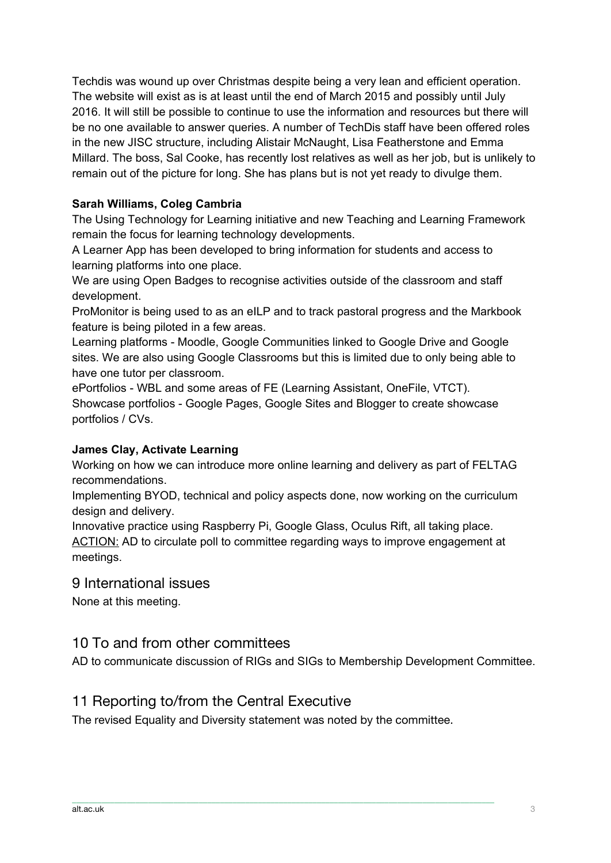Techdis was wound up over Christmas despite being a very lean and efficient operation. The website will exist as is at least until the end of March 2015 and possibly until July 2016. It will still be possible to continue to use the information and resources but there will be no one available to answer queries. A number of TechDis staff have been offered roles in the new JISC structure, including Alistair McNaught, Lisa Featherstone and Emma Millard. The boss, Sal Cooke, has recently lost relatives as well as her job, but is unlikely to remain out of the picture for long. She has plans but is not yet ready to divulge them.

### **Sarah Williams, Coleg Cambria**

The Using Technology for Learning initiative and new Teaching and Learning Framework remain the focus for learning technology developments.

A Learner App has been developed to bring information for students and access to learning platforms into one place.

We are using Open Badges to recognise activities outside of the classroom and staff development.

ProMonitor is being used to as an eILP and to track pastoral progress and the Markbook feature is being piloted in a few areas.

Learning platforms - Moodle, Google Communities linked to Google Drive and Google sites. We are also using Google Classrooms but this is limited due to only being able to have one tutor per classroom.

ePortfolios - WBL and some areas of FE (Learning Assistant, OneFile, VTCT). Showcase portfolios - Google Pages, Google Sites and Blogger to create showcase portfolios / CVs.

#### **James Clay, Activate Learning**

Working on how we can introduce more online learning and delivery as part of FELTAG recommendations.

Implementing BYOD, technical and policy aspects done, now working on the curriculum design and delivery.

Innovative practice using Raspberry Pi, Google Glass, Oculus Rift, all taking place. ACTION: AD to circulate poll to committee regarding ways to improve engagement at meetings.

#### 9 International issues

None at this meeting.

### 10 To and from other committees

AD to communicate discussion of RIGs and SIGs to Membership Development Committee.

### 11 Reporting to/from the Central Executive

The revised Equality and Diversity statement was noted by the committee.

 $\_$  , and the set of the set of the set of the set of the set of the set of the set of the set of the set of the set of the set of the set of the set of the set of the set of the set of the set of the set of the set of th